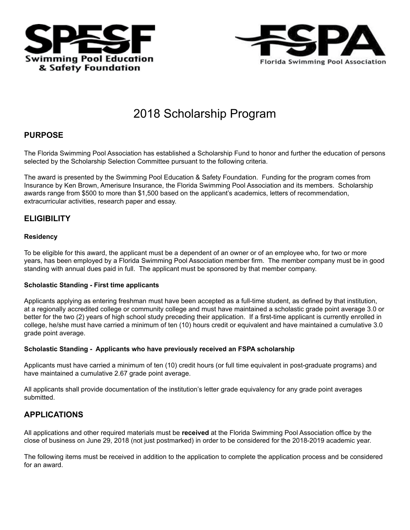



# 2018 Scholarship Program

## **PURPOSE**

The Florida Swimming Pool Association has established a Scholarship Fund to honor and further the education of persons selected by the Scholarship Selection Committee pursuant to the following criteria.

The award is presented by the Swimming Pool Education & Safety Foundation. Funding for the program comes from Insurance by Ken Brown, Amerisure Insurance, the Florida Swimming Pool Association and its members. Scholarship awards range from \$500 to more than \$1,500 based on the applicant's academics, letters of recommendation, extracurricular activities, research paper and essay.

## **ELIGIBILITY**

#### **Residency**

To be eligible for this award, the applicant must be a dependent of an owner or of an employee who, for two or more years, has been employed by a Florida Swimming Pool Association member firm. The member company must be in good standing with annual dues paid in full. The applicant must be sponsored by that member company.

#### **Scholastic Standing - First time applicants**

Applicants applying as entering freshman must have been accepted as a full-time student, as defined by that institution, at a regionally accredited college or community college and must have maintained a scholastic grade point average 3.0 or better for the two (2) years of high school study preceding their application. If a first-time applicant is currently enrolled in college, he/she must have carried a minimum of ten (10) hours credit or equivalent and have maintained a cumulative 3.0 grade point average.

#### **Scholastic Standing - Applicants who have previously received an FSPA scholarship**

Applicants must have carried a minimum of ten (10) credit hours (or full time equivalent in post-graduate programs) and have maintained a cumulative 2.67 grade point average.

All applicants shall provide documentation of the institution's letter grade equivalency for any grade point averages submitted.

## **APPLICATIONS**

All applications and other required materials must be **received** at the Florida Swimming Pool Association office by the close of business on June 29, 2018 (not just postmarked) in order to be considered for the 2018-2019 academic year.

The following items must be received in addition to the application to complete the application process and be considered for an award.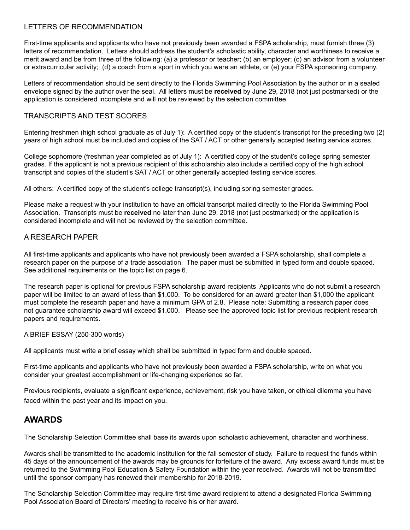#### LETTERS OF RECOMMENDATION

First-time applicants and applicants who have not previously been awarded a FSPA scholarship, must furnish three (3) letters of recommendation. Letters should address the student's scholastic ability, character and worthiness to receive a merit award and be from three of the following: (a) a professor or teacher; (b) an employer; (c) an advisor from a volunteer or extracurricular activity; (d) a coach from a sport in which you were an athlete, or (e) your FSPA sponsoring company.

Letters of recommendation should be sent directly to the Florida Swimming Pool Association by the author or in a sealed envelope signed by the author over the seal. All letters must be **received** by June 29, 2018 (not just postmarked) or the application is considered incomplete and will not be reviewed by the selection committee.

#### TRANSCRIPTS AND TEST SCORES

Entering freshmen (high school graduate as of July 1): A certified copy of the student's transcript for the preceding two (2) years of high school must be included and copies of the SAT / ACT or other generally accepted testing service scores.

College sophomore (freshman year completed as of July 1): A certified copy of the student's college spring semester grades. If the applicant is not a previous recipient of this scholarship also include a certified copy of the high school transcript and copies of the student's SAT / ACT or other generally accepted testing service scores.

All others: A certified copy of the student's college transcript(s), including spring semester grades.

Please make a request with your institution to have an official transcript mailed directly to the Florida Swimming Pool Association. Transcripts must be **received** no later than June 29, 2018 (not just postmarked) or the application is considered incomplete and will not be reviewed by the selection committee.

#### A RESEARCH PAPER

All first-time applicants and applicants who have not previously been awarded a FSPA scholarship, shall complete a research paper on the purpose of a trade association. The paper must be submitted in typed form and double spaced. See additional requirements on the topic list on page 6.

The research paper is optional for previous FSPA scholarship award recipients Applicants who do not submit a research paper will be limited to an award of less than \$1,000. To be considered for an award greater than \$1,000 the applicant must complete the research paper and have a minimum GPA of 2.8. Please note: Submitting a research paper does not guarantee scholarship award will exceed \$1,000. Please see the approved topic list for previous recipient research papers and requirements.

#### A BRIEF ESSAY (250-300 words)

All applicants must write a brief essay which shall be submitted in typed form and double spaced.

First-time applicants and applicants who have not previously been awarded a FSPA scholarship, write on what you consider your greatest accomplishment or life-changing experience so far.

Previous recipients, evaluate a significant experience, achievement, risk you have taken, or ethical dilemma you have faced within the past year and its impact on you.

## **AWARDS**

The Scholarship Selection Committee shall base its awards upon scholastic achievement, character and worthiness.

Awards shall be transmitted to the academic institution for the fall semester of study. Failure to request the funds within 45 days of the announcement of the awards may be grounds for forfeiture of the award. Any excess award funds must be returned to the Swimming Pool Education & Safety Foundation within the year received. Awards will not be transmitted until the sponsor company has renewed their membership for 2018-2019.

The Scholarship Selection Committee may require first-time award recipient to attend a designated Florida Swimming Pool Association Board of Directors' meeting to receive his or her award.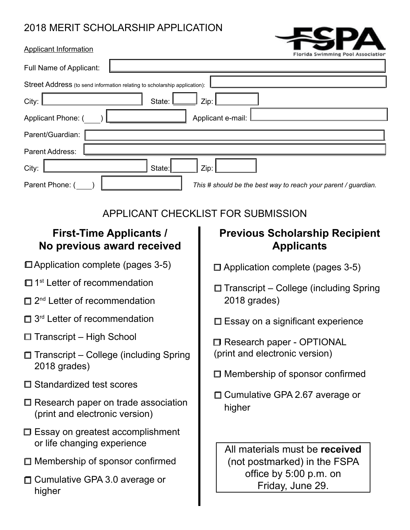## 2018 MERIT SCHOLARSHIP APPLICATION



| Applicant Information |  |
|-----------------------|--|
|-----------------------|--|

|                                                                                   | Florida Swimming Pool Association                          |  |  |  |
|-----------------------------------------------------------------------------------|------------------------------------------------------------|--|--|--|
| Full Name of Applicant:                                                           |                                                            |  |  |  |
| Street Address (to send information relating to scholarship application):         |                                                            |  |  |  |
| City:<br>State:                                                                   | Zip:                                                       |  |  |  |
| Applicant e-mail:<br>Applicant Phone: (                                           |                                                            |  |  |  |
| Parent/Guardian:                                                                  |                                                            |  |  |  |
| Parent Address:                                                                   |                                                            |  |  |  |
| City:<br>State:<br>Zip:                                                           |                                                            |  |  |  |
| Parent Phone: (<br>This # should be the best way to reach your parent / guardian. |                                                            |  |  |  |
| APPLICANT CHECKLIST FOR SUBMISSION                                                |                                                            |  |  |  |
| <b>First-Time Applicants /</b><br>No previous award received                      | <b>Previous Scholarship Recipient</b><br><b>Applicants</b> |  |  |  |
| □ Application complete (pages 3-5)                                                | $\Box$ Application complete (pages 3-5)                    |  |  |  |
| <sup>st</sup> Letter of recommendation                                            | □ Transcript – College (including Spring                   |  |  |  |

- $\Box$  2<sup>nd</sup> Letter of recommendation
- $\Box$  3<sup>rd</sup> Letter of recommendation
- $\Box$  Transcript High School
- $\Box$  Transcript College (including Spring 2018 grades)
- $\square$  Standardized test scores
- $\square$  Research paper on trade association (print and electronic version)
- $\square$  Essay on greatest accomplishment or life changing experience
- $\Box$  Membership of sponsor confirmed
- □ Cumulative GPA 3.0 average or higher
- □ Transcript College (including Spring 2018 grades)
- $\square$  Essay on a significant experience

□ Research paper - OPTIONAL (print and electronic version)

- $\square$  Membership of sponsor confirmed
- $\square$  Cumulative GPA 2.67 average or higher

All materials must be **received** (not postmarked) in the FSPA office by 5:00 p.m. on Friday, June 29.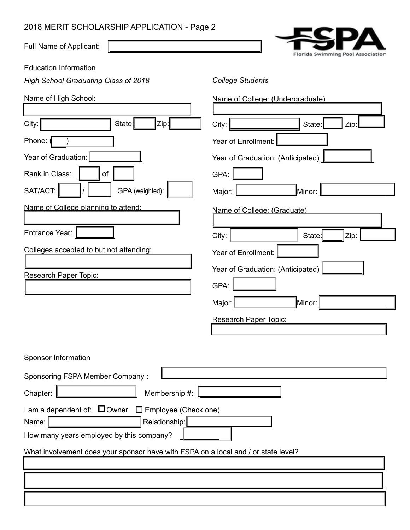## 2018 MERIT SCHOLARSHIP APPLICATION - Page 2

Full Name of Applicant:

Florida Swimming Pool Association

Education Information

*High School Graduating Class of 2018*

| Name of High School:                                                                                                                      | Name of College: (Undergraduate)          |  |  |  |
|-------------------------------------------------------------------------------------------------------------------------------------------|-------------------------------------------|--|--|--|
| Zip:<br>City:<br>State:                                                                                                                   | City:<br>State:<br>Zip                    |  |  |  |
| Phone:                                                                                                                                    | Year of Enrollment:                       |  |  |  |
| Year of Graduation:                                                                                                                       | Year of Graduation: (Anticipated)         |  |  |  |
| Rank in Class:<br>of                                                                                                                      | GPA:                                      |  |  |  |
| SAT/ACT:<br>GPA (weighted):                                                                                                               | Minor:<br>Major:                          |  |  |  |
| Name of College planning to attend:                                                                                                       | Name of College: (Graduate)               |  |  |  |
| Entrance Year:                                                                                                                            | City:<br>State:<br>Zip:                   |  |  |  |
| Colleges accepted to but not attending:                                                                                                   | Year of Enrollment:                       |  |  |  |
| Research Paper Topic:                                                                                                                     | Year of Graduation: (Anticipated)<br>GPA: |  |  |  |
|                                                                                                                                           | Minor:                                    |  |  |  |
|                                                                                                                                           | Major:                                    |  |  |  |
| Research Paper Topic:                                                                                                                     |                                           |  |  |  |
| <b>Sponsor Information</b>                                                                                                                |                                           |  |  |  |
| Sponsoring FSPA Member Company:                                                                                                           |                                           |  |  |  |
| Chapter:<br>Membership #:                                                                                                                 |                                           |  |  |  |
| I am a dependent of: $\square$ Owner<br>$\Box$ Employee (Check one)<br>Relationship:<br>Name:<br>How many years employed by this company? |                                           |  |  |  |
|                                                                                                                                           |                                           |  |  |  |
| What involvement does your sponsor have with FSPA on a local and / or state level?                                                        |                                           |  |  |  |
|                                                                                                                                           |                                           |  |  |  |
|                                                                                                                                           |                                           |  |  |  |

*College Students*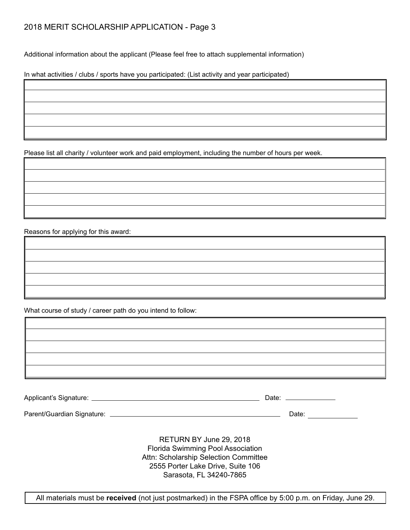Additional information about the applicant (Please feel free to attach supplemental information)

In what activities / clubs / sports have you participated: (List activity and year participated)

Please list all charity / volunteer work and paid employment, including the number of hours per week.

Reasons for applying for this award:

What course of study / career path do you intend to follow:

| Applicant's Signature: | Jate |
|------------------------|------|
|                        |      |

Parent/Guardian Signature: Date:

RETURN BY June 29, 2018 Florida Swimming Pool Association Attn: Scholarship Selection Committee 2555 Porter Lake Drive, Suite 106 Sarasota, FL 34240-7865

All materials must be **received** (not just postmarked) in the FSPA office by 5:00 p.m. on Friday, June 29.